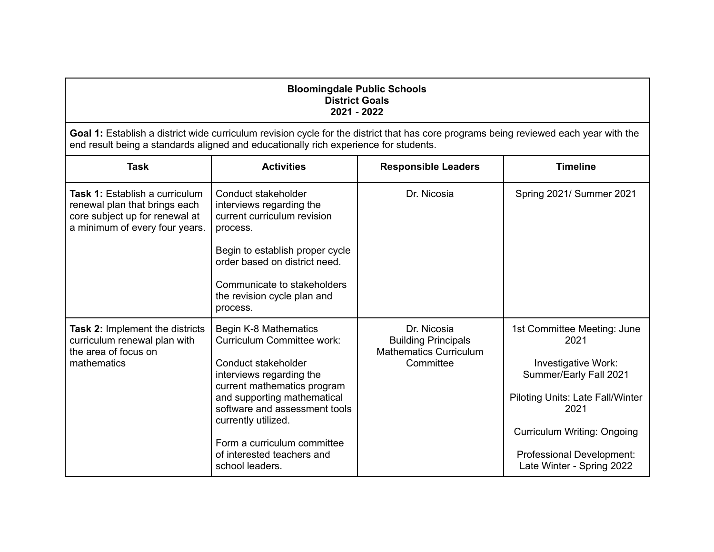| <b>Bloomingdale Public Schools</b><br><b>District Goals</b><br>2021 - 2022                                                                                                                                                    |                                                                                                                                                                                                                                                                                                                     |                                                                                         |                                                                                                                                                                                                                                  |
|-------------------------------------------------------------------------------------------------------------------------------------------------------------------------------------------------------------------------------|---------------------------------------------------------------------------------------------------------------------------------------------------------------------------------------------------------------------------------------------------------------------------------------------------------------------|-----------------------------------------------------------------------------------------|----------------------------------------------------------------------------------------------------------------------------------------------------------------------------------------------------------------------------------|
| Goal 1: Establish a district wide curriculum revision cycle for the district that has core programs being reviewed each year with the<br>end result being a standards aligned and educationally rich experience for students. |                                                                                                                                                                                                                                                                                                                     |                                                                                         |                                                                                                                                                                                                                                  |
| <b>Task</b>                                                                                                                                                                                                                   | <b>Activities</b>                                                                                                                                                                                                                                                                                                   | <b>Responsible Leaders</b>                                                              | <b>Timeline</b>                                                                                                                                                                                                                  |
| <b>Task 1: Establish a curriculum</b><br>renewal plan that brings each<br>core subject up for renewal at<br>a minimum of every four years.                                                                                    | Conduct stakeholder<br>interviews regarding the<br>current curriculum revision<br>process.<br>Begin to establish proper cycle<br>order based on district need.<br>Communicate to stakeholders<br>the revision cycle plan and<br>process.                                                                            | Dr. Nicosia                                                                             | Spring 2021/ Summer 2021                                                                                                                                                                                                         |
| <b>Task 2: Implement the districts</b><br>curriculum renewal plan with<br>the area of focus on<br>mathematics                                                                                                                 | Begin K-8 Mathematics<br><b>Curriculum Committee work:</b><br>Conduct stakeholder<br>interviews regarding the<br>current mathematics program<br>and supporting mathematical<br>software and assessment tools<br>currently utilized.<br>Form a curriculum committee<br>of interested teachers and<br>school leaders. | Dr. Nicosia<br><b>Building Principals</b><br><b>Mathematics Curriculum</b><br>Committee | 1st Committee Meeting: June<br>2021<br>Investigative Work:<br>Summer/Early Fall 2021<br>Piloting Units: Late Fall/Winter<br>2021<br><b>Curriculum Writing: Ongoing</b><br>Professional Development:<br>Late Winter - Spring 2022 |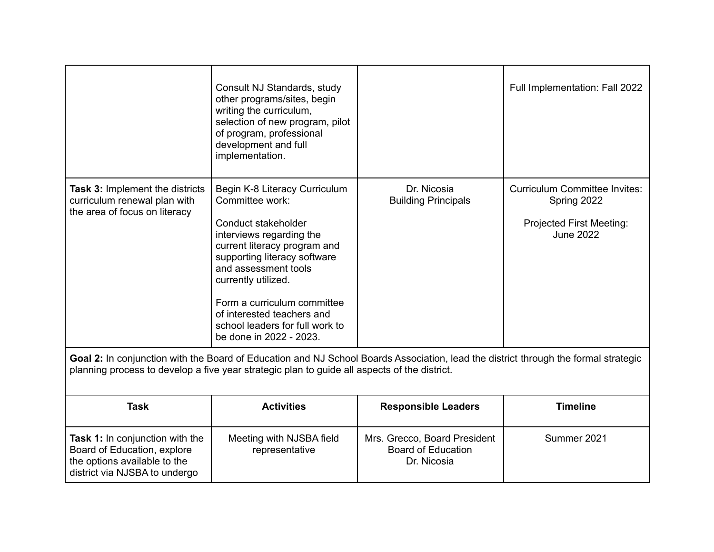|                                                                                                                                                                                                                                     | Consult NJ Standards, study<br>other programs/sites, begin<br>writing the curriculum,<br>selection of new program, pilot<br>of program, professional<br>development and full<br>implementation.                                                                                                                                               |                                                                          | Full Implementation: Fall 2022                                                                             |
|-------------------------------------------------------------------------------------------------------------------------------------------------------------------------------------------------------------------------------------|-----------------------------------------------------------------------------------------------------------------------------------------------------------------------------------------------------------------------------------------------------------------------------------------------------------------------------------------------|--------------------------------------------------------------------------|------------------------------------------------------------------------------------------------------------|
| Task 3: Implement the districts<br>curriculum renewal plan with<br>the area of focus on literacy                                                                                                                                    | Begin K-8 Literacy Curriculum<br>Committee work:<br>Conduct stakeholder<br>interviews regarding the<br>current literacy program and<br>supporting literacy software<br>and assessment tools<br>currently utilized.<br>Form a curriculum committee<br>of interested teachers and<br>school leaders for full work to<br>be done in 2022 - 2023. | Dr. Nicosia<br><b>Building Principals</b>                                | <b>Curriculum Committee Invites:</b><br>Spring 2022<br><b>Projected First Meeting:</b><br><b>June 2022</b> |
| Goal 2: In conjunction with the Board of Education and NJ School Boards Association, lead the district through the formal strategic<br>planning process to develop a five year strategic plan to guide all aspects of the district. |                                                                                                                                                                                                                                                                                                                                               |                                                                          |                                                                                                            |
| <b>Task</b>                                                                                                                                                                                                                         | <b>Activities</b>                                                                                                                                                                                                                                                                                                                             | <b>Responsible Leaders</b>                                               | <b>Timeline</b>                                                                                            |
| Task 1: In conjunction with the<br>Board of Education, explore<br>the options available to the<br>district via NJSBA to undergo                                                                                                     | Meeting with NJSBA field<br>representative                                                                                                                                                                                                                                                                                                    | Mrs. Grecco, Board President<br><b>Board of Education</b><br>Dr. Nicosia | Summer 2021                                                                                                |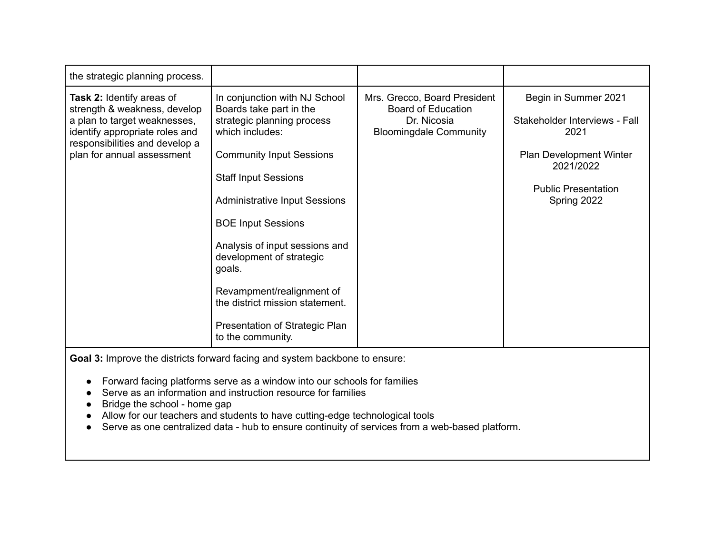| the strategic planning process.                                                                                                                                                             |                                                                                                                                                                                                                                                                                                                                                                                                                                                 |                                                                                                           |                                                                                                                                                    |
|---------------------------------------------------------------------------------------------------------------------------------------------------------------------------------------------|-------------------------------------------------------------------------------------------------------------------------------------------------------------------------------------------------------------------------------------------------------------------------------------------------------------------------------------------------------------------------------------------------------------------------------------------------|-----------------------------------------------------------------------------------------------------------|----------------------------------------------------------------------------------------------------------------------------------------------------|
| Task 2: Identify areas of<br>strength & weakness, develop<br>a plan to target weaknesses,<br>identify appropriate roles and<br>responsibilities and develop a<br>plan for annual assessment | In conjunction with NJ School<br>Boards take part in the<br>strategic planning process<br>which includes:<br><b>Community Input Sessions</b><br><b>Staff Input Sessions</b><br><b>Administrative Input Sessions</b><br><b>BOE Input Sessions</b><br>Analysis of input sessions and<br>development of strategic<br>goals.<br>Revampment/realignment of<br>the district mission statement.<br>Presentation of Strategic Plan<br>to the community. | Mrs. Grecco, Board President<br><b>Board of Education</b><br>Dr. Nicosia<br><b>Bloomingdale Community</b> | Begin in Summer 2021<br>Stakeholder Interviews - Fall<br>2021<br>Plan Development Winter<br>2021/2022<br><b>Public Presentation</b><br>Spring 2022 |
| Goal 3: Improve the districts forward facing and system backbone to ensure:                                                                                                                 |                                                                                                                                                                                                                                                                                                                                                                                                                                                 |                                                                                                           |                                                                                                                                                    |

- Forward facing platforms serve as a window into our schools for families
- Serve as an information and instruction resource for families
- Bridge the school home gap
- Allow for our teachers and students to have cutting-edge technological tools
- Serve as one centralized data hub to ensure continuity of services from a web-based platform.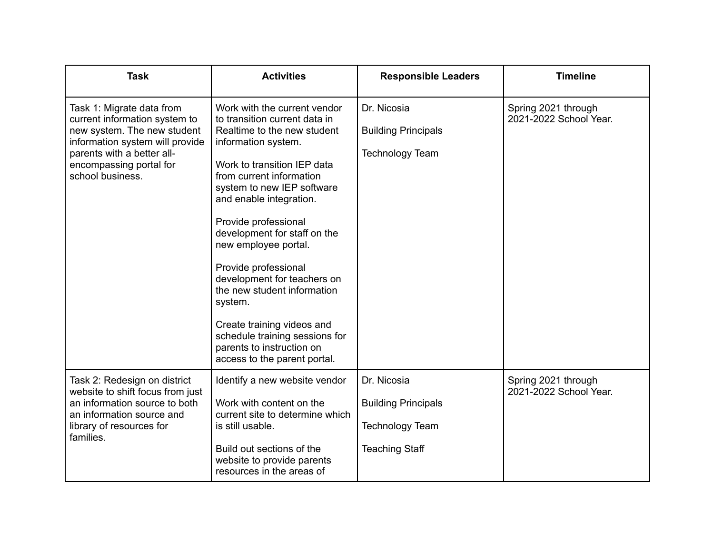| <b>Task</b>                                                                                                                                                                                               | <b>Activities</b>                                                                                                                                                                                                                                                                                                                                                                                                                                                                                                                                     | <b>Responsible Leaders</b>                                                                   | <b>Timeline</b>                               |
|-----------------------------------------------------------------------------------------------------------------------------------------------------------------------------------------------------------|-------------------------------------------------------------------------------------------------------------------------------------------------------------------------------------------------------------------------------------------------------------------------------------------------------------------------------------------------------------------------------------------------------------------------------------------------------------------------------------------------------------------------------------------------------|----------------------------------------------------------------------------------------------|-----------------------------------------------|
| Task 1: Migrate data from<br>current information system to<br>new system. The new student<br>information system will provide<br>parents with a better all-<br>encompassing portal for<br>school business. | Work with the current vendor<br>to transition current data in<br>Realtime to the new student<br>information system.<br>Work to transition IEP data<br>from current information<br>system to new IEP software<br>and enable integration.<br>Provide professional<br>development for staff on the<br>new employee portal.<br>Provide professional<br>development for teachers on<br>the new student information<br>system.<br>Create training videos and<br>schedule training sessions for<br>parents to instruction on<br>access to the parent portal. | Dr. Nicosia<br><b>Building Principals</b><br><b>Technology Team</b>                          | Spring 2021 through<br>2021-2022 School Year. |
| Task 2: Redesign on district<br>website to shift focus from just<br>an information source to both<br>an information source and<br>library of resources for<br>families.                                   | Identify a new website vendor<br>Work with content on the<br>current site to determine which<br>is still usable.<br>Build out sections of the<br>website to provide parents<br>resources in the areas of                                                                                                                                                                                                                                                                                                                                              | Dr. Nicosia<br><b>Building Principals</b><br><b>Technology Team</b><br><b>Teaching Staff</b> | Spring 2021 through<br>2021-2022 School Year. |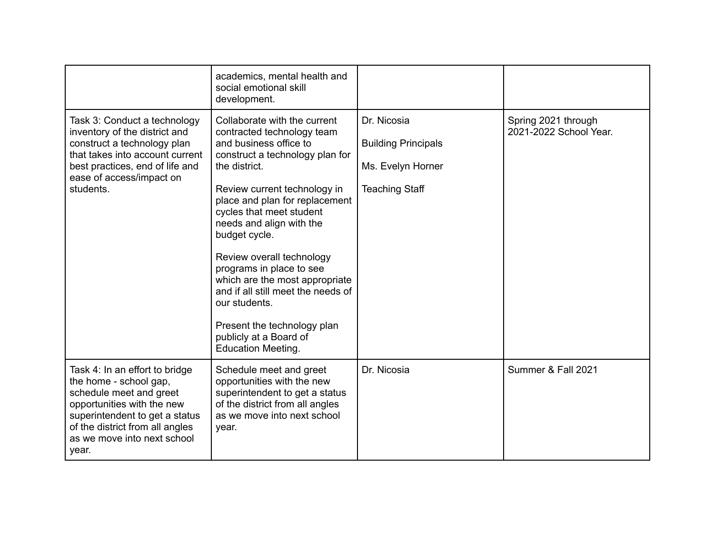|                                                                                                                                                                                                                                | academics, mental health and<br>social emotional skill<br>development.                                                                                                                                                                                                                                                                                                                                                                                                                                                      |                                                                                         |                                               |
|--------------------------------------------------------------------------------------------------------------------------------------------------------------------------------------------------------------------------------|-----------------------------------------------------------------------------------------------------------------------------------------------------------------------------------------------------------------------------------------------------------------------------------------------------------------------------------------------------------------------------------------------------------------------------------------------------------------------------------------------------------------------------|-----------------------------------------------------------------------------------------|-----------------------------------------------|
| Task 3: Conduct a technology<br>inventory of the district and<br>construct a technology plan<br>that takes into account current<br>best practices, end of life and<br>ease of access/impact on<br>students.                    | Collaborate with the current<br>contracted technology team<br>and business office to<br>construct a technology plan for<br>the district.<br>Review current technology in<br>place and plan for replacement<br>cycles that meet student<br>needs and align with the<br>budget cycle.<br>Review overall technology<br>programs in place to see<br>which are the most appropriate<br>and if all still meet the needs of<br>our students.<br>Present the technology plan<br>publicly at a Board of<br><b>Education Meeting.</b> | Dr. Nicosia<br><b>Building Principals</b><br>Ms. Evelyn Horner<br><b>Teaching Staff</b> | Spring 2021 through<br>2021-2022 School Year. |
| Task 4: In an effort to bridge<br>the home - school gap,<br>schedule meet and greet<br>opportunities with the new<br>superintendent to get a status<br>of the district from all angles<br>as we move into next school<br>year. | Schedule meet and greet<br>opportunities with the new<br>superintendent to get a status<br>of the district from all angles<br>as we move into next school<br>year.                                                                                                                                                                                                                                                                                                                                                          | Dr. Nicosia                                                                             | Summer & Fall 2021                            |